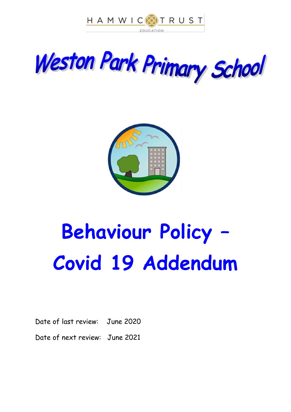





# **Behaviour Policy – Covid 19 Addendum**

Date of last review: June 2020

Date of next review: June 2021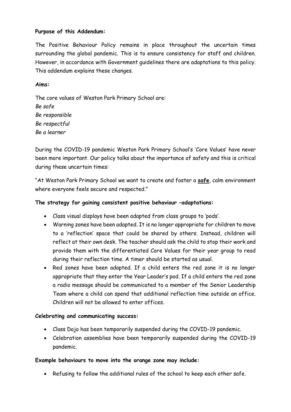# **Purpose of this Addendum:**

The Positive Behaviour Policy remains in place throughout the uncertain times surrounding the global pandemic. This is to ensure consistency for staff and children. However, in accordance with Government guidelines there are adaptations to this policy. This addendum explains these changes.

### **Aims:**

The core values of Weston Park Primary School are: *Be safe Be responsible Be respectful Be a learner*

During the COVID-19 pandemic Weston Park Primary School's 'Core Values' have never been more important. Our policy talks about the importance of safety and this is critical during these uncertain times:

"At Weston Park Primary School we want to create and foster a **safe**, calm environment where everyone feels secure and respected."

# **The strategy for gaining consistent positive behaviour –adaptations:**

- Class visual displays have been adapted from class groups to 'pods'.
- Warning zones have been adapted. It is no longer appropriate for children to move to a 'reflection' space that could be shared by others. Instead, children will reflect at their own desk. The teacher should ask the child to stop their work and provide them with the differentiated Core Values for their year group to read during their reflection time. A timer should be started as usual.
- Red zones have been adapted. If a child enters the red zone it is no longer appropriate that they enter the Year Leader's pod. If a child enters the red zone a radio message should be communicated to a member of the Senior Leadership Team where a child can spend that additional reflection time outside an office. Children will not be allowed to enter offices.

#### **Celebrating and communicating success:**

- Class Dojo has been temporarily suspended during the COVID-19 pandemic.
- Celebration assemblies have been temporarily suspended during the COVID-19 pandemic.

#### **Example behaviours to move into the orange zone may include:**

Refusing to follow the additional rules of the school to keep each other safe.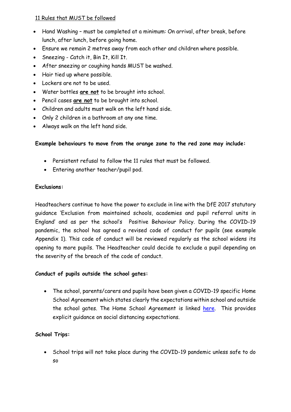# 11 Rules that MUST be followed

- Hand Washing must be completed at a minimum: On arrival, after break, before lunch, after lunch, before going home.
- Ensure we remain 2 metres away from each other and children where possible.
- Sneezing Catch it, Bin It, Kill It.
- After sneezing or coughing hands MUST be washed.
- Hair tied up where possible.
- Lockers are not to be used.
- Water bottles **are not** to be brought into school.
- Pencil cases **are not** to be brought into school.
- Children and adults must walk on the left hand side.
- Only 2 children in a bathroom at any one time.
- Always walk on the left hand side.

# **Example behaviours to move from the orange zone to the red zone may include:**

- Persistent refusal to follow the 11 rules that must be followed.
- Entering another teacher/pupil pod.

# **Exclusions:**

Headteachers continue to have the power to exclude in line with the DfE 2017 statutory guidance 'Exclusion from maintained schools, academies and pupil referral units in England' and as per the school's Positive Behaviour Policy. During the COVID-19 pandemic, the school has agreed a revised code of conduct for pupils (see example Appendix 1). This code of conduct will be reviewed regularly as the school widens its opening to more pupils. The Headteacher could decide to exclude a pupil depending on the severity of the breach of the code of conduct.

# **Conduct of pupils outside the school gates:**

 The school, parents/carers and pupils have been given a COVID-19 specific Home School Agreement which states clearly the expectations within school and outside the school gates. The Home School Agreement is linked [here.](https://www.weston-park.org.uk/attachments/download.asp?file=348&type=pdf) This provides explicit guidance on social distancing expectations.

# **School Trips:**

• School trips will not take place during the COVID-19 pandemic unless safe to do so